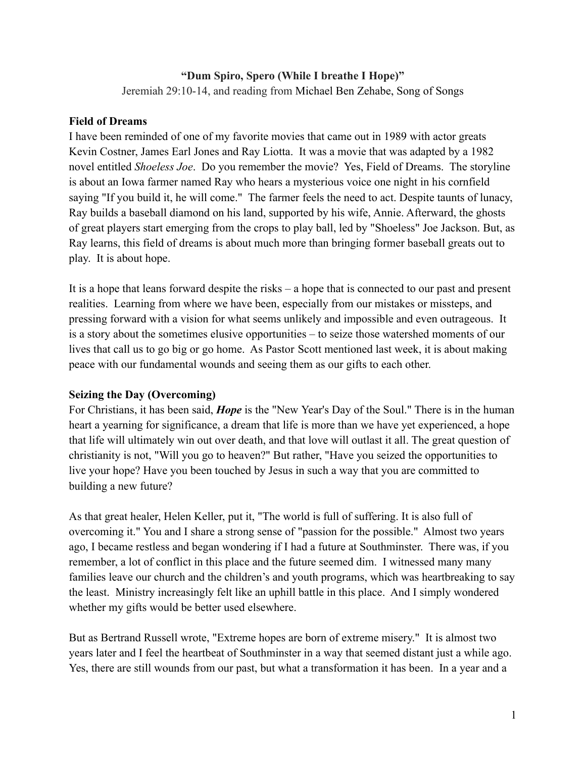### **"Dum Spiro, Spero (While I breathe I Hope)"**

Jeremiah 29:10-14, and reading from Michael Ben Zehabe, Song of Songs

### **Field of Dreams**

I have been reminded of one of my favorite movies that came out in 1989 with actor greats Kevin Costner, James Earl Jones and Ray Liotta. It was a movie that was adapted by a 1982 novel entitled *Shoeless Joe*. Do you remember the movie? Yes, Field of Dreams. The storyline is about an Iowa farmer named Ray who hears a mysterious voice one night in his cornfield saying "If you build it, he will come." The farmer feels the need to act. Despite taunts of lunacy, Ray builds a baseball diamond on his land, supported by his wife, Annie. Afterward, the ghosts of great players start emerging from the crops to play ball, led by "Shoeless" Joe Jackson. But, as Ray learns, this field of dreams is about much more than bringing former baseball greats out to play. It is about hope.

It is a hope that leans forward despite the risks – a hope that is connected to our past and present realities. Learning from where we have been, especially from our mistakes or missteps, and pressing forward with a vision for what seems unlikely and impossible and even outrageous. It is a story about the sometimes elusive opportunities – to seize those watershed moments of our lives that call us to go big or go home. As Pastor Scott mentioned last week, it is about making peace with our fundamental wounds and seeing them as our gifts to each other.

#### **Seizing the Day (Overcoming)**

For Christians, it has been said, *Hope* is the "New Year's Day of the Soul." There is in the human heart a yearning for significance, a dream that life is more than we have yet experienced, a hope that life will ultimately win out over death, and that love will outlast it all. The great question of christianity is not, "Will you go to heaven?" But rather, "Have you seized the opportunities to live your hope? Have you been touched by Jesus in such a way that you are committed to building a new future?

As that great healer, Helen Keller, put it, "The world is full of suffering. It is also full of overcoming it." You and I share a strong sense of "passion for the possible." Almost two years ago, I became restless and began wondering if I had a future at Southminster. There was, if you remember, a lot of conflict in this place and the future seemed dim. I witnessed many many families leave our church and the children's and youth programs, which was heartbreaking to say the least. Ministry increasingly felt like an uphill battle in this place. And I simply wondered whether my gifts would be better used elsewhere.

But as Bertrand Russell wrote, "Extreme hopes are born of extreme misery." It is almost two years later and I feel the heartbeat of Southminster in a way that seemed distant just a while ago. Yes, there are still wounds from our past, but what a transformation it has been. In a year and a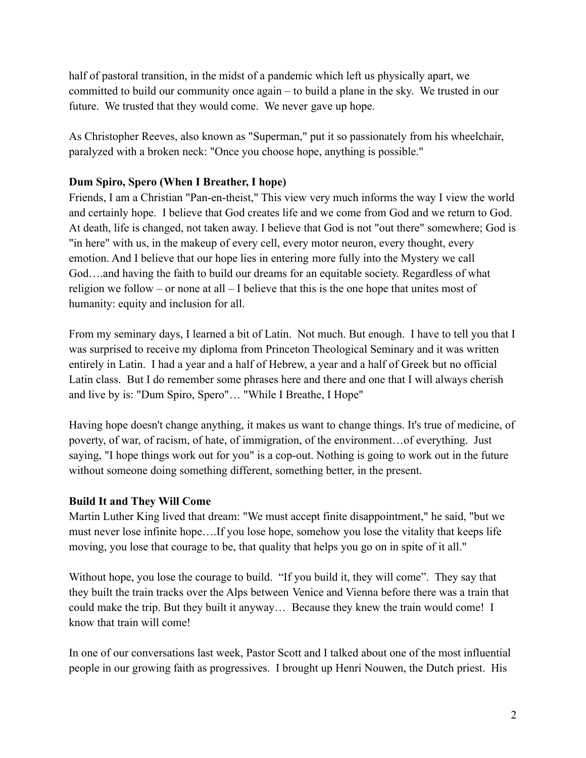half of pastoral transition, in the midst of a pandemic which left us physically apart, we committed to build our community once again – to build a plane in the sky. We trusted in our future. We trusted that they would come. We never gave up hope.

As Christopher Reeves, also known as "Superman," put it so passionately from his wheelchair, paralyzed with a broken neck: "Once you choose hope, anything is possible."

## **Dum Spiro, Spero (When I Breather, I hope)**

Friends, I am a Christian "Pan-en-theist," This view very much informs the way I view the world and certainly hope. I believe that God creates life and we come from God and we return to God. At death, life is changed, not taken away. I believe that God is not "out there" somewhere; God is "in here" with us, in the makeup of every cell, every motor neuron, every thought, every emotion. And I believe that our hope lies in entering more fully into the Mystery we call God….and having the faith to build our dreams for an equitable society. Regardless of what religion we follow – or none at all – I believe that this is the one hope that unites most of humanity: equity and inclusion for all.

From my seminary days, I learned a bit of Latin. Not much. But enough. I have to tell you that I was surprised to receive my diploma from Princeton Theological Seminary and it was written entirely in Latin. I had a year and a half of Hebrew, a year and a half of Greek but no official Latin class. But I do remember some phrases here and there and one that I will always cherish and live by is: "Dum Spiro, Spero"… "While I Breathe, I Hope"

Having hope doesn't change anything, it makes us want to change things. It's true of medicine, of poverty, of war, of racism, of hate, of immigration, of the environment…of everything. Just saying, "I hope things work out for you" is a cop-out. Nothing is going to work out in the future without someone doing something different, something better, in the present.

# **Build It and They Will Come**

Martin Luther King lived that dream: "We must accept finite disappointment," he said, "but we must never lose infinite hope….If you lose hope, somehow you lose the vitality that keeps life moving, you lose that courage to be, that quality that helps you go on in spite of it all."

Without hope, you lose the courage to build. "If you build it, they will come". They say that they built the train tracks over the Alps between Venice and Vienna before there was a train that could make the trip. But they built it anyway… Because they knew the train would come! I know that train will come!

In one of our conversations last week, Pastor Scott and I talked about one of the most influential people in our growing faith as progressives. I brought up Henri Nouwen, the Dutch priest. His